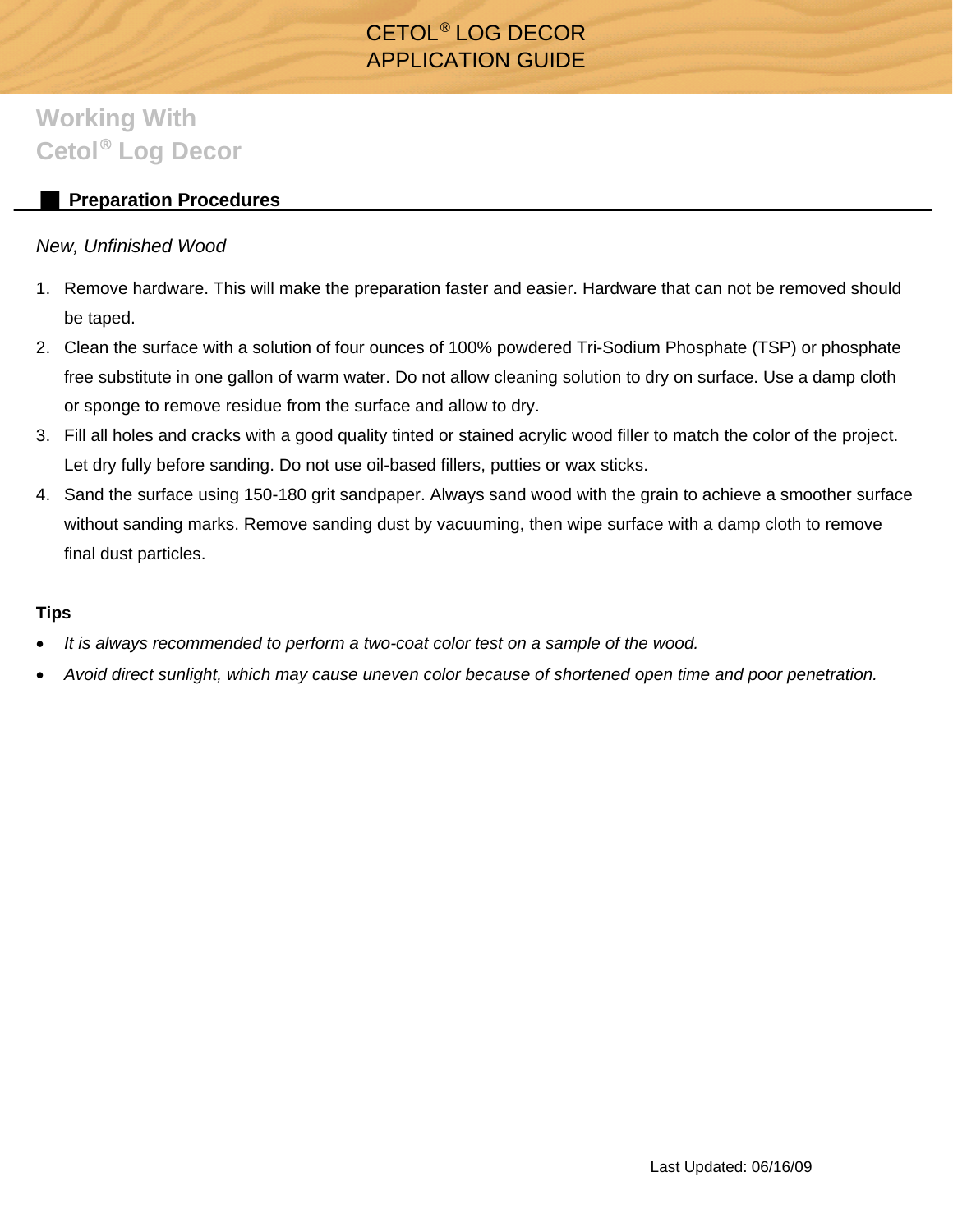# CETOL® LOG DECOR APPLICATION GUIDE

# **Working With Cetol**® **Log Decor**

## **Preparation Procedures**

## *New, Unfinished Wood*

- 1. Remove hardware. This will make the preparation faster and easier. Hardware that can not be removed should be taped.
- 2. Clean the surface with a solution of four ounces of 100% powdered Tri-Sodium Phosphate (TSP) or phosphate free substitute in one gallon of warm water. Do not allow cleaning solution to dry on surface. Use a damp cloth or sponge to remove residue from the surface and allow to dry.
- 3. Fill all holes and cracks with a good quality tinted or stained acrylic wood filler to match the color of the project. Let dry fully before sanding. Do not use oil-based fillers, putties or wax sticks.
- 4. Sand the surface using 150-180 grit sandpaper. Always sand wood with the grain to achieve a smoother surface without sanding marks. Remove sanding dust by vacuuming, then wipe surface with a damp cloth to remove final dust particles.

### **Tips**

- *It is always recommended to perform a two-coat color test on a sample of the wood.*
- *Avoid direct sunlight, which may cause uneven color because of shortened open time and poor penetration.*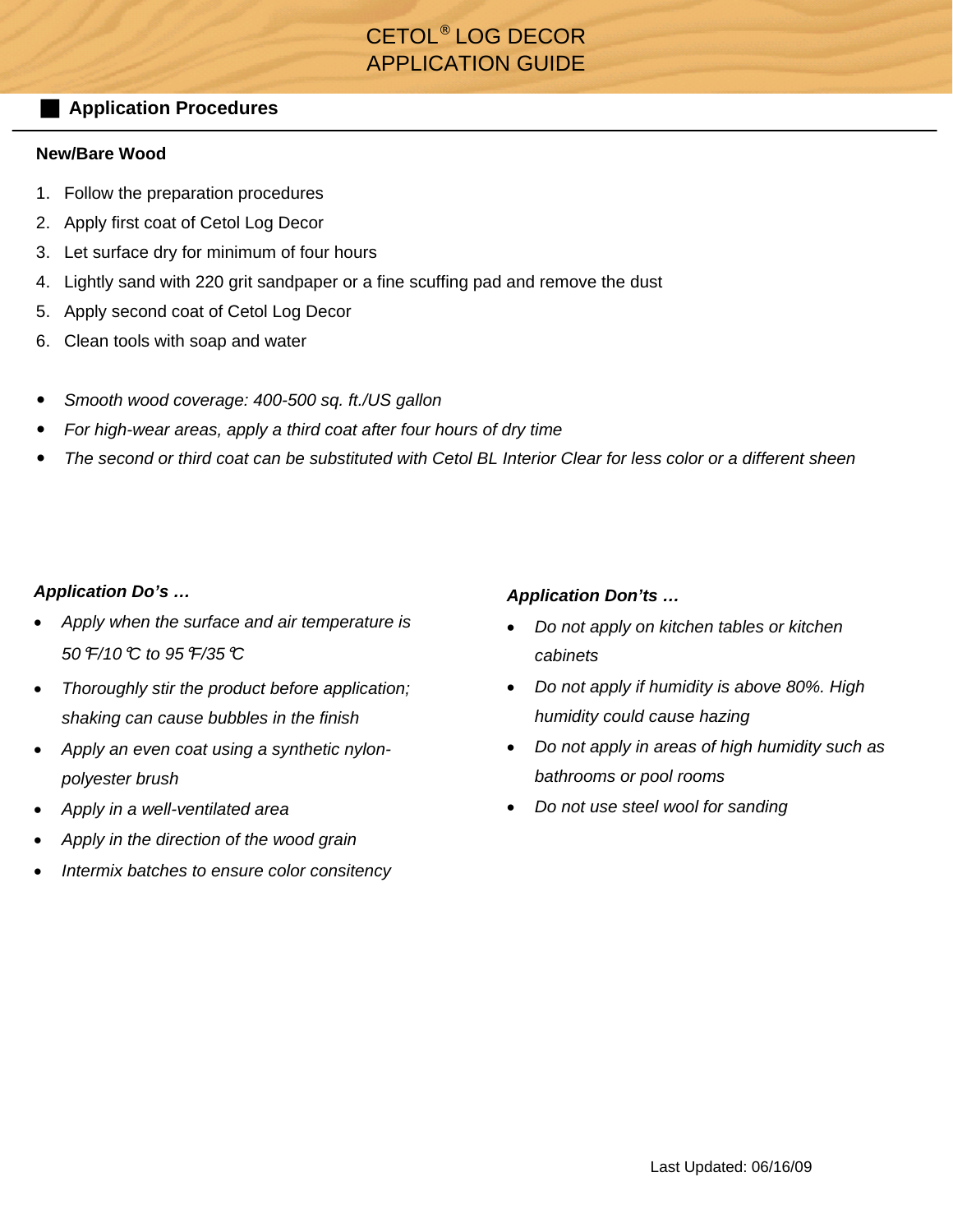# CETOL® LOG DECOR APPLICATION GUIDE

## **Application Procedures**

#### **New/Bare Wood**

- 1. Follow the preparation procedures
- 2. Apply first coat of Cetol Log Decor
- 3. Let surface dry for minimum of four hours
- 4. Lightly sand with 220 grit sandpaper or a fine scuffing pad and remove the dust
- 5. Apply second coat of Cetol Log Decor
- 6. Clean tools with soap and water
- *Smooth wood coverage: 400-500 sq. ft./US gallon*
- *For high-wear areas, apply a third coat after four hours of dry time*
- *The second or third coat can be substituted with Cetol BL Interior Clear for less color or a different sheen*

#### *Application Do's …*

- *Apply when the surface and air temperature is 50*°*F/10*°*C to 95*°*F/35*°*C*
- *Thoroughly stir the product before application; shaking can cause bubbles in the finish*
- *Apply an even coat using a synthetic nylonpolyester brush*
- *Apply in a well-ventilated area*
- *Apply in the direction of the wood grain*
- *Intermix batches to ensure color consitency*

#### *Application Don'ts …*

- *Do not apply on kitchen tables or kitchen cabinets*
- *Do not apply if humidity is above 80%. High humidity could cause hazing*
- *Do not apply in areas of high humidity such as bathrooms or pool rooms*
- *Do not use steel wool for sanding*